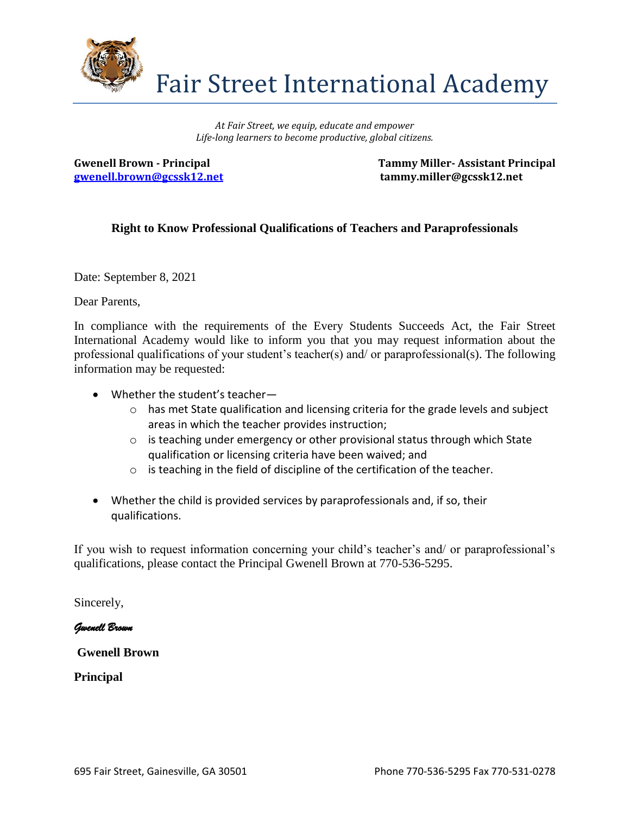

Fair Street International Academy

*At Fair Street, we equip, educate and empower Life-long learners to become productive, global citizens.* 

**[gwenell.brown@gcssk12.net](mailto:gwenell.brown@gcssk12.net) tammy.miller@gcssk12.net** 

**Gwenell Brown - Principal Tammy Miller- Assistant Principal**

## **Right to Know Professional Qualifications of Teachers and Paraprofessionals**

Date: September 8, 2021

Dear Parents,

In compliance with the requirements of the Every Students Succeeds Act, the Fair Street International Academy would like to inform you that you may request information about the professional qualifications of your student's teacher(s) and/ or paraprofessional(s). The following information may be requested:

- Whether the student's teacher—
	- $\circ$  has met State qualification and licensing criteria for the grade levels and subject areas in which the teacher provides instruction;
	- $\circ$  is teaching under emergency or other provisional status through which State qualification or licensing criteria have been waived; and
	- o is teaching in the field of discipline of the certification of the teacher.
- Whether the child is provided services by paraprofessionals and, if so, their qualifications.

If you wish to request information concerning your child's teacher's and/ or paraprofessional's qualifications, please contact the Principal Gwenell Brown at 770-536-5295.

Sincerely,

*Gwenell Brown* 

**Gwenell Brown**

**Principal**